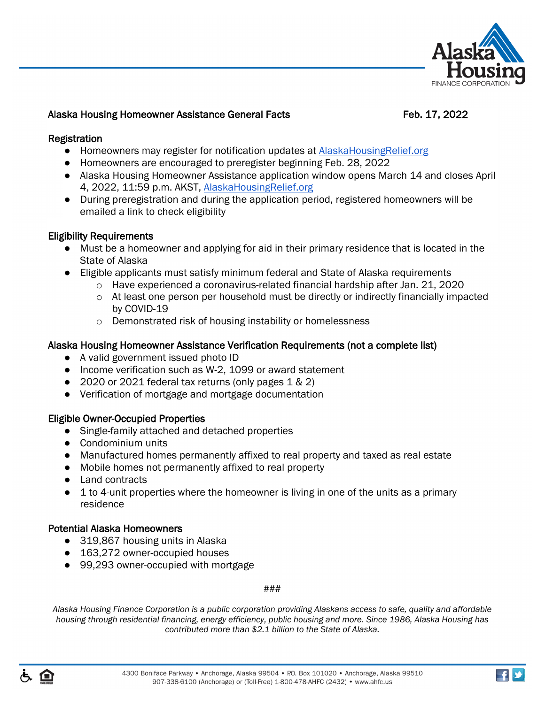

### Alaska Housing Homeowner Assistance General Facts Feb. 17, 2022

### Registration

- Homeowners may register for notification updates at AlaskaHousingRelief.org
- Homeowners are encouraged to preregister beginning Feb. 28, 2022
- Alaska Housing Homeowner Assistance application window opens March 14 and closes April 4, 2022, 11:59 p.m. AKST, [AlaskaHousingRelief.org](https://www.alaskahousingrelief.org/)
- During preregistration and during the application period, registered homeowners will be emailed a link to check eligibility

## Eligibility Requirements

- Must be a homeowner and applying for aid in their primary residence that is located in the State of Alaska
- Eligible applicants must satisfy minimum federal and State of Alaska requirements
	- $\circ$  Have experienced a coronavirus-related financial hardship after Jan. 21, 2020
	- o At least one person per household must be directly or indirectly financially impacted by COVID-19
	- o Demonstrated risk of housing instability or homelessness

### Alaska Housing Homeowner Assistance Verification Requirements (not a complete list)

- A valid government issued photo ID
- Income verification such as W-2, 1099 or award statement
- 2020 or 2021 federal tax returns (only pages 1 & 2)
- Verification of mortgage and mortgage documentation

## Eligible Owner-Occupied Properties

- Single-family attached and detached properties
- Condominium units
- Manufactured homes permanently affixed to real property and taxed as real estate
- Mobile homes not permanently affixed to real property
- Land contracts
- $\bullet$  1 to 4-unit properties where the homeowner is living in one of the units as a primary residence

## Potential Alaska Homeowners

- 319,867 housing units in Alaska
- 163,272 owner-occupied houses
- 99,293 owner-occupied with mortgage

### ###

*Alaska Housing Finance Corporation is a public corporation providing Alaskans access to safe, quality and affordable housing through residential financing, energy efficiency, public housing and more. Since 1986, Alaska Housing has contributed more than \$2.1 billion to the State of Alaska.* 



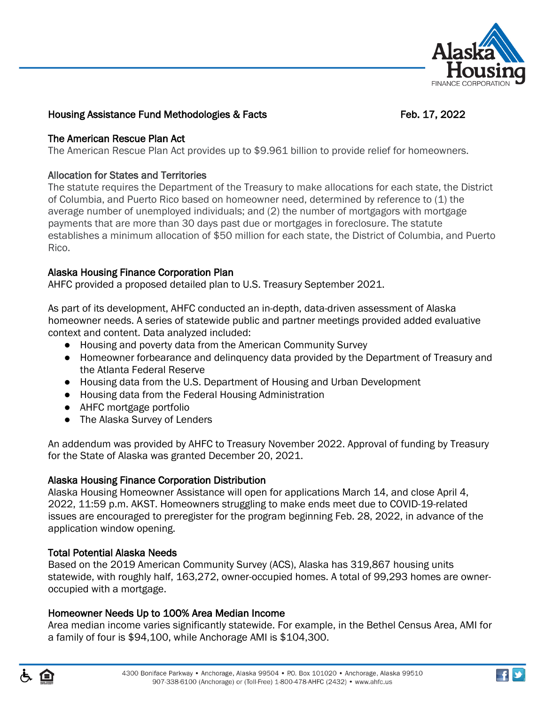

# Housing Assistance Fund Methodologies & Facts Feb. 17, 2022

## The American Rescue Plan Act

The American Rescue Plan Act provides up to \$9.961 billion to provide relief for homeowners.

### Allocation for States and Territories

The statute requires the Department of the Treasury to make allocations for each state, the District of Columbia, and Puerto Rico based on homeowner need, determined by reference to (1) the average number of unemployed individuals; and (2) the number of mortgagors with mortgage payments that are more than 30 days past due or mortgages in foreclosure. The statute establishes a minimum allocation of \$50 million for each state, the District of Columbia, and Puerto Rico.

## Alaska Housing Finance Corporation Plan

AHFC provided a proposed detailed plan to U.S. Treasury September 2021.

As part of its development, AHFC conducted an in-depth, data-driven assessment of Alaska homeowner needs. A series of statewide public and partner meetings provided added evaluative context and content. Data analyzed included:

- Housing and poverty data from the American Community Survey
- Homeowner forbearance and delinquency data provided by the Department of Treasury and the Atlanta Federal Reserve
- Housing data from the U.S. Department of Housing and Urban Development
- Housing data from the Federal Housing Administration
- AHFC mortgage portfolio
- The Alaska Survey of Lenders

An addendum was provided by AHFC to Treasury November 2022. Approval of funding by Treasury for the State of Alaska was granted December 20, 2021.

## Alaska Housing Finance Corporation Distribution

Alaska Housing Homeowner Assistance will open for applications March 14, and close April 4, 2022, 11:59 p.m. AKST. Homeowners struggling to make ends meet due to COVID-19-related issues are encouraged to preregister for the program beginning Feb. 28, 2022, in advance of the application window opening.

## Total Potential Alaska Needs

Based on the 2019 American Community Survey (ACS), Alaska has 319,867 housing units statewide, with roughly half, 163,272, owner-occupied homes. A total of 99,293 homes are owneroccupied with a mortgage.

## Homeowner Needs Up to 100% Area Median Income

Area median income varies significantly statewide. For example, in the Bethel Census Area, AMI for a family of four is \$94,100, while Anchorage AMI is \$104,300.